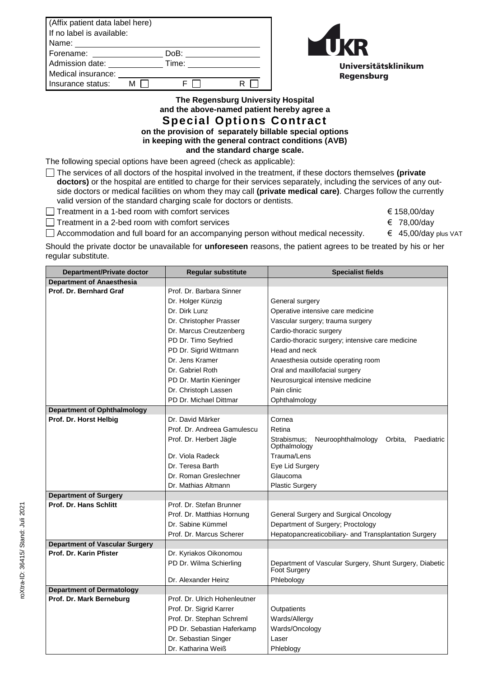| (Affix patient data label here)<br>If no label is available: |  |       |  |  |
|--------------------------------------------------------------|--|-------|--|--|
| Name:                                                        |  |       |  |  |
| Forename:                                                    |  | DoB:  |  |  |
| Admission date:                                              |  | Time: |  |  |
| Medical insurance:                                           |  |       |  |  |
| Insurance status:                                            |  |       |  |  |



**The Regensburg University Hospital and the above-named patient hereby agree a Special Options Contract on the provision of separately billable special options** 

**in keeping with the general contract conditions (AVB)** 

**and the standard charge scale.**

The following special options have been agreed (check as applicable):

The services of all doctors of the hospital involved in the treatment, if these doctors themselves **(private doctors)** or the hospital are entitled to charge for their services separately, including the services of any outside doctors or medical facilities on whom they may call **(private medical care)**. Charges follow the currently valid version of the standard charging scale for doctors or dentists.

Treatment in a 1-bed room with comfort services  $\Box$  Treatment in a 1-bed room with comfort services

Treatment in a 2-bed room with comfort services  $\epsilon$  78,00/day

Accommodation and full board for an accompanying person without medical necessity. € 45,00/day plus VAT

Should the private doctor be unavailable for **unforeseen** reasons, the patient agrees to be treated by his or her

regular substitute.

| Department/Private doctor             | <b>Regular substitute</b>     | <b>Specialist fields</b>                                                       |
|---------------------------------------|-------------------------------|--------------------------------------------------------------------------------|
| <b>Department of Anaesthesia</b>      |                               |                                                                                |
| Prof. Dr. Bernhard Graf               | Prof. Dr. Barbara Sinner      |                                                                                |
|                                       | Dr. Holger Künzig             | General surgery                                                                |
|                                       | Dr. Dirk Lunz                 | Operative intensive care medicine                                              |
|                                       | Dr. Christopher Prasser       | Vascular surgery; trauma surgery                                               |
|                                       | Dr. Marcus Creutzenberg       | Cardio-thoracic surgery                                                        |
|                                       | PD Dr. Timo Seyfried          | Cardio-thoracic surgery; intensive care medicine                               |
|                                       | PD Dr. Sigrid Wittmann        | Head and neck                                                                  |
|                                       | Dr. Jens Kramer               | Anaesthesia outside operating room                                             |
|                                       | Dr. Gabriel Roth              | Oral and maxillofacial surgery                                                 |
|                                       | PD Dr. Martin Kieninger       | Neurosurgical intensive medicine                                               |
|                                       | Dr. Christoph Lassen          | Pain clinic                                                                    |
|                                       | PD Dr. Michael Dittmar        | Ophthalmology                                                                  |
| <b>Department of Ophthalmology</b>    |                               |                                                                                |
| Prof. Dr. Horst Helbig                | Dr. David Märker              | Cornea                                                                         |
|                                       | Prof. Dr. Andreea Gamulescu   | Retina                                                                         |
|                                       | Prof. Dr. Herbert Jägle       | Strabismus;<br>Neuroophthalmology<br>Orbita,<br>Paediatric<br>Opthalmology     |
|                                       | Dr. Viola Radeck              | Trauma/Lens                                                                    |
|                                       | Dr. Teresa Barth              | Eye Lid Surgery                                                                |
|                                       | Dr. Roman Greslechner         | Glaucoma                                                                       |
|                                       | Dr. Mathias Altmann           | <b>Plastic Surgery</b>                                                         |
| <b>Department of Surgery</b>          |                               |                                                                                |
| Prof. Dr. Hans Schlitt                | Prof. Dr. Stefan Brunner      |                                                                                |
|                                       | Prof. Dr. Matthias Hornung    | General Surgery and Surgical Oncology                                          |
|                                       | Dr. Sabine Kümmel             | Department of Surgery; Proctology                                              |
|                                       | Prof. Dr. Marcus Scherer      | Hepatopancreaticobiliary- and Transplantation Surgery                          |
| <b>Department of Vascular Surgery</b> |                               |                                                                                |
| Prof. Dr. Karin Pfister               | Dr. Kyriakos Oikonomou        |                                                                                |
|                                       | PD Dr. Wilma Schierling       | Department of Vascular Surgery, Shunt Surgery, Diabetic<br><b>Foot Surgery</b> |
|                                       | Dr. Alexander Heinz           | Phlebology                                                                     |
| <b>Department of Dermatology</b>      |                               |                                                                                |
| Prof. Dr. Mark Berneburg              | Prof. Dr. Ulrich Hohenleutner |                                                                                |
|                                       | Prof. Dr. Sigrid Karrer       | Outpatients                                                                    |
|                                       | Prof. Dr. Stephan Schreml     | Wards/Allergy                                                                  |
|                                       | PD Dr. Sebastian Haferkamp    | Wards/Oncology                                                                 |
|                                       | Dr. Sebastian Singer          | Laser                                                                          |
|                                       | Dr. Katharina Weiß            | Phleblogy                                                                      |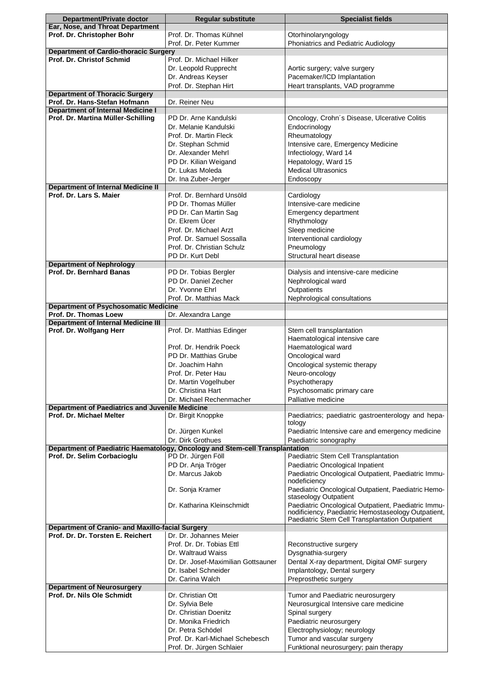| Department/Private doctor                                            | <b>Regular substitute</b>                                                    | <b>Specialist fields</b>                                            |
|----------------------------------------------------------------------|------------------------------------------------------------------------------|---------------------------------------------------------------------|
| Ear, Nose, and Throat Department                                     |                                                                              |                                                                     |
| Prof. Dr. Christopher Bohr                                           | Prof. Dr. Thomas Kühnel                                                      | Otorhinolaryngology                                                 |
|                                                                      | Prof. Dr. Peter Kummer                                                       | Phoniatrics and Pediatric Audiology                                 |
| <b>Department of Cardio-thoracic Surgery</b>                         |                                                                              |                                                                     |
| Prof. Dr. Christof Schmid                                            | Prof. Dr. Michael Hilker                                                     |                                                                     |
|                                                                      | Dr. Leopold Rupprecht                                                        | Aortic surgery; valve surgery                                       |
|                                                                      | Dr. Andreas Keyser                                                           | Pacemaker/ICD Implantation                                          |
|                                                                      | Prof. Dr. Stephan Hirt                                                       | Heart transplants, VAD programme                                    |
| <b>Department of Thoracic Surgery</b>                                |                                                                              |                                                                     |
| Prof. Dr. Hans-Stefan Hofmann                                        | Dr. Reiner Neu                                                               |                                                                     |
| <b>Department of Internal Medicine I</b>                             |                                                                              |                                                                     |
| Prof. Dr. Martina Müller-Schilling                                   | PD Dr. Arne Kandulski                                                        | Oncology, Crohn's Disease, Ulcerative Colitis                       |
|                                                                      | Dr. Melanie Kandulski                                                        | Endocrinology                                                       |
|                                                                      | Prof. Dr. Martin Fleck                                                       | Rheumatology                                                        |
|                                                                      | Dr. Stephan Schmid                                                           | Intensive care, Emergency Medicine                                  |
|                                                                      | Dr. Alexander Mehrl                                                          | Infectiology, Ward 14                                               |
|                                                                      |                                                                              |                                                                     |
|                                                                      | PD Dr. Kilian Weigand                                                        | Hepatology, Ward 15                                                 |
|                                                                      | Dr. Lukas Moleda                                                             | <b>Medical Ultrasonics</b>                                          |
|                                                                      | Dr. Ina Zuber-Jerger                                                         | Endoscopy                                                           |
| <b>Department of Internal Medicine II</b>                            |                                                                              |                                                                     |
| Prof. Dr. Lars S. Maier                                              | Prof. Dr. Bernhard Unsöld                                                    | Cardiology                                                          |
|                                                                      | PD Dr. Thomas Müller                                                         | Intensive-care medicine                                             |
|                                                                      | PD Dr. Can Martin Sag                                                        | Emergency department                                                |
|                                                                      | Dr. Ekrem Ücer                                                               | Rhythmology                                                         |
|                                                                      | Prof. Dr. Michael Arzt                                                       | Sleep medicine                                                      |
|                                                                      | Prof. Dr. Samuel Sossalla                                                    | Interventional cardiology                                           |
|                                                                      | Prof. Dr. Christian Schulz                                                   | Pneumology                                                          |
|                                                                      | PD Dr. Kurt Debl                                                             | Structural heart disease                                            |
| <b>Department of Nephrology</b>                                      |                                                                              |                                                                     |
| <b>Prof. Dr. Bernhard Banas</b>                                      | PD Dr. Tobias Bergler                                                        | Dialysis and intensive-care medicine                                |
|                                                                      | PD Dr. Daniel Zecher                                                         | Nephrological ward                                                  |
|                                                                      |                                                                              |                                                                     |
|                                                                      | Dr. Yvonne Ehrl                                                              | Outpatients                                                         |
|                                                                      | Prof. Dr. Matthias Mack                                                      | Nephrological consultations                                         |
| <b>Department of Psychosomatic Medicine</b><br>Prof. Dr. Thomas Loew |                                                                              |                                                                     |
| <b>Department of Internal Medicine III</b>                           | Dr. Alexandra Lange                                                          |                                                                     |
| Prof. Dr. Wolfgang Herr                                              | Prof. Dr. Matthias Edinger                                                   | Stem cell transplantation                                           |
|                                                                      |                                                                              | Haematological intensive care                                       |
|                                                                      | Prof. Dr. Hendrik Poeck                                                      |                                                                     |
|                                                                      |                                                                              | Haematological ward                                                 |
|                                                                      | PD Dr. Matthias Grube                                                        | Oncological ward                                                    |
|                                                                      | Dr. Joachim Hahn                                                             | Oncological systemic therapy                                        |
|                                                                      | Prof. Dr. Peter Hau                                                          | Neuro-oncology                                                      |
|                                                                      | Dr. Martin Vogelhuber                                                        | Psychotherapy                                                       |
|                                                                      | Dr. Christina Hart                                                           | Psychosomatic primary care                                          |
|                                                                      | Dr. Michael Rechenmacher                                                     | Palliative medicine                                                 |
| <b>Department of Paediatrics and Juvenile Medicine</b>               |                                                                              |                                                                     |
| Prof. Dr. Michael Melter                                             | Dr. Birgit Knoppke                                                           | Paediatrics; paediatric gastroenterology and hepa-                  |
|                                                                      |                                                                              | tology                                                              |
|                                                                      | Dr. Jürgen Kunkel                                                            | Paediatric Intensive care and emergency medicine                    |
|                                                                      | Dr. Dirk Grothues                                                            | Paediatric sonography                                               |
|                                                                      | Department of Paediatric Haematology, Oncology and Stem-cell Transplantation | Paediatric Stem Cell Transplantation                                |
| Prof. Dr. Selim Corbacioglu                                          | PD Dr. Jürgen Föll                                                           |                                                                     |
|                                                                      | PD Dr. Anja Tröger                                                           | Paediatric Oncological Inpatient                                    |
|                                                                      | Dr. Marcus Jakob                                                             | Paediatric Oncological Outpatient, Paediatric Immu-<br>nodeficiency |
|                                                                      |                                                                              | Paediatric Oncological Outpatient, Paediatric Hemo-                 |
|                                                                      | Dr. Sonja Kramer                                                             | staseology Outpatient                                               |
|                                                                      | Dr. Katharina Kleinschmidt                                                   | Paediatric Oncological Outpatient, Paediatric Immu-                 |
|                                                                      |                                                                              | nodificiency, Paediatric Hemostaseology Outpatient,                 |
|                                                                      |                                                                              | Paediatric Stem Cell Transplantation Outpatient                     |
| Department of Cranio- and Maxillo-facial Surgery                     |                                                                              |                                                                     |
| Prof. Dr. Dr. Torsten E. Reichert                                    | Dr. Dr. Johannes Meier                                                       |                                                                     |
|                                                                      | Prof. Dr. Dr. Tobias Ettl                                                    | Reconstructive surgery                                              |
|                                                                      | Dr. Waltraud Waiss                                                           | Dysgnathia-surgery                                                  |
|                                                                      | Dr. Dr. Josef-Maximilian Gottsauner                                          | Dental X-ray department, Digital OMF surgery                        |
|                                                                      | Dr. Isabel Schneider                                                         | Implantology, Dental surgery                                        |
|                                                                      | Dr. Carina Walch                                                             | Preprosthetic surgery                                               |
| <b>Department of Neurosurgery</b>                                    |                                                                              |                                                                     |
| Prof. Dr. Nils Ole Schmidt                                           | Dr. Christian Ott                                                            | Tumor and Paediatric neurosurgery                                   |
|                                                                      | Dr. Sylvia Bele                                                              | Neurosurgical Intensive care medicine                               |
|                                                                      | Dr. Christian Doenitz                                                        | Spinal surgery                                                      |
|                                                                      | Dr. Monika Friedrich                                                         | Paediatric neurosurgery                                             |
|                                                                      |                                                                              |                                                                     |
|                                                                      | Dr. Petra Schödel                                                            | Electrophysiology; neurology                                        |
|                                                                      | Prof. Dr. Karl-Michael Schebesch                                             | Tumor and vascular surgery                                          |
|                                                                      | Prof. Dr. Jürgen Schlaier                                                    | Funktional neurosurgery; pain therapy                               |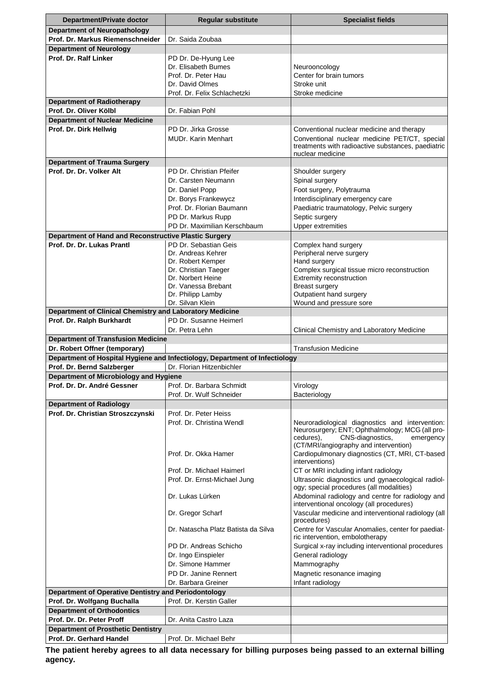| Department/Private doctor                                                  | <b>Regular substitute</b>                                                   | <b>Specialist fields</b>                                                                      |
|----------------------------------------------------------------------------|-----------------------------------------------------------------------------|-----------------------------------------------------------------------------------------------|
| <b>Department of Neuropathology</b>                                        |                                                                             |                                                                                               |
| Prof. Dr. Markus Riemenschneider                                           | Dr. Saida Zoubaa                                                            |                                                                                               |
| <b>Department of Neurology</b>                                             |                                                                             |                                                                                               |
| Prof. Dr. Ralf Linker                                                      | PD Dr. De-Hyung Lee                                                         |                                                                                               |
|                                                                            | Dr. Elisabeth Bumes                                                         | Neurooncology                                                                                 |
|                                                                            | Prof. Dr. Peter Hau                                                         | Center for brain tumors                                                                       |
|                                                                            | Dr. David Olmes<br>Prof. Dr. Felix Schlachetzki                             | Stroke unit<br>Stroke medicine                                                                |
| <b>Department of Radiotherapy</b>                                          |                                                                             |                                                                                               |
| Prof. Dr. Oliver Kölbl                                                     | Dr. Fabian Pohl                                                             |                                                                                               |
| <b>Department of Nuclear Medicine</b>                                      |                                                                             |                                                                                               |
| Prof. Dr. Dirk Hellwig                                                     | PD Dr. Jirka Grosse                                                         | Conventional nuclear medicine and therapy                                                     |
|                                                                            | <b>MUDr. Karin Menhart</b>                                                  | Conventional nuclear medicine PET/CT, special                                                 |
|                                                                            |                                                                             | treatments with radioactive substances, paediatric                                            |
| <b>Department of Trauma Surgery</b>                                        |                                                                             | nuclear medicine                                                                              |
| Prof. Dr. Dr. Volker Alt                                                   | PD Dr. Christian Pfeifer                                                    | Shoulder surgery                                                                              |
|                                                                            | Dr. Carsten Neumann                                                         | Spinal surgery                                                                                |
|                                                                            | Dr. Daniel Popp                                                             | Foot surgery, Polytrauma                                                                      |
|                                                                            | Dr. Borys Frankewycz                                                        | Interdisciplinary emergency care                                                              |
|                                                                            | Prof. Dr. Florian Baumann                                                   | Paediatric traumatology, Pelvic surgery                                                       |
|                                                                            | PD Dr. Markus Rupp                                                          | Septic surgery                                                                                |
|                                                                            | PD Dr. Maximilian Kerschbaum                                                | <b>Upper extremities</b>                                                                      |
| Department of Hand and Reconstructive Plastic Surgery                      |                                                                             |                                                                                               |
| Prof. Dr. Dr. Lukas Prantl                                                 | PD Dr. Sebastian Geis                                                       | Complex hand surgery                                                                          |
|                                                                            | Dr. Andreas Kehrer                                                          | Peripheral nerve surgery                                                                      |
|                                                                            | Dr. Robert Kemper<br>Dr. Christian Taeger                                   | Hand surgery<br>Complex surgical tissue micro reconstruction                                  |
|                                                                            | Dr. Norbert Heine                                                           | Extremity reconstruction                                                                      |
|                                                                            | Dr. Vanessa Brebant                                                         | <b>Breast surgery</b>                                                                         |
|                                                                            | Dr. Philipp Lamby                                                           | Outpatient hand surgery                                                                       |
|                                                                            | Dr. Silvan Klein                                                            | Wound and pressure sore                                                                       |
| Department of Clinical Chemistry and Laboratory Medicine                   |                                                                             |                                                                                               |
| Prof. Dr. Ralph Burkhardt                                                  | PD Dr. Susanne Heimerl                                                      |                                                                                               |
|                                                                            | Dr. Petra Lehn                                                              | Clinical Chemistry and Laboratory Medicine                                                    |
| <b>Department of Transfusion Medicine</b><br>Dr. Robert Offner (temporary) |                                                                             | <b>Transfusion Medicine</b>                                                                   |
|                                                                            | Department of Hospital Hygiene and Infectiology, Department of Infectiology |                                                                                               |
| Prof. Dr. Bernd Salzberger                                                 | Dr. Florian Hitzenbichler                                                   |                                                                                               |
| Department of Microbiology and Hygiene                                     |                                                                             |                                                                                               |
| Prof. Dr. Dr. André Gessner                                                | Prof. Dr. Barbara Schmidt                                                   | Virology                                                                                      |
|                                                                            | Prof. Dr. Wulf Schneider                                                    | Bacteriology                                                                                  |
| <b>Department of Radiology</b>                                             |                                                                             |                                                                                               |
| Prof. Dr. Christian Stroszczynski                                          | Prof. Dr. Peter Heiss                                                       |                                                                                               |
|                                                                            | Prof. Dr. Christina Wendl                                                   | Neuroradiological diagnostics and intervention:                                               |
|                                                                            |                                                                             | Neurosurgery; ENT; Ophthalmology; MCG (all pro-<br>CNS-diagnostics,<br>cedures),<br>emergency |
|                                                                            |                                                                             | (CT/MRI/angiography and intervention)                                                         |
|                                                                            | Prof. Dr. Okka Hamer                                                        | Cardiopulmonary diagnostics (CT, MRI, CT-based                                                |
|                                                                            |                                                                             | interventions)                                                                                |
|                                                                            | Prof. Dr. Michael Haimerl                                                   | CT or MRI including infant radiology                                                          |
|                                                                            | Prof. Dr. Ernst-Michael Jung                                                | Ultrasonic diagnostics und gynaecological radiol-<br>ogy; special procedures (all modalities) |
|                                                                            | Dr. Lukas Lürken                                                            | Abdominal radiology and centre for radiology and                                              |
|                                                                            |                                                                             | interventional oncology (all procedures)                                                      |
|                                                                            | Dr. Gregor Scharf                                                           | Vascular medicine and interventional radiology (all                                           |
|                                                                            |                                                                             | procedures)                                                                                   |
|                                                                            | Dr. Natascha Platz Batista da Silva                                         | Centre for Vascular Anomalies, center for paediat-<br>ric intervention, embolotherapy         |
|                                                                            | PD Dr. Andreas Schicho                                                      | Surgical x-ray including interventional procedures                                            |
|                                                                            | Dr. Ingo Einspieler                                                         | General radiology                                                                             |
|                                                                            | Dr. Simone Hammer                                                           | Mammography                                                                                   |
|                                                                            | PD Dr. Janine Rennert                                                       | Magnetic resonance imaging                                                                    |
|                                                                            | Dr. Barbara Greiner                                                         | Infant radiology                                                                              |
| Department of Operative Dentistry and Periodontology                       |                                                                             |                                                                                               |
| Prof. Dr. Wolfgang Buchalla                                                | Prof. Dr. Kerstin Galler                                                    |                                                                                               |
| <b>Department of Orthodontics</b>                                          |                                                                             |                                                                                               |
| Prof. Dr. Dr. Peter Proff                                                  | Dr. Anita Castro Laza                                                       |                                                                                               |
| <b>Department of Prosthetic Dentistry</b>                                  |                                                                             |                                                                                               |
| Prof. Dr. Gerhard Handel                                                   | Prof. Dr. Michael Behr                                                      |                                                                                               |

**The patient hereby agrees to all data necessary for billing purposes being passed to an external billing agency.**